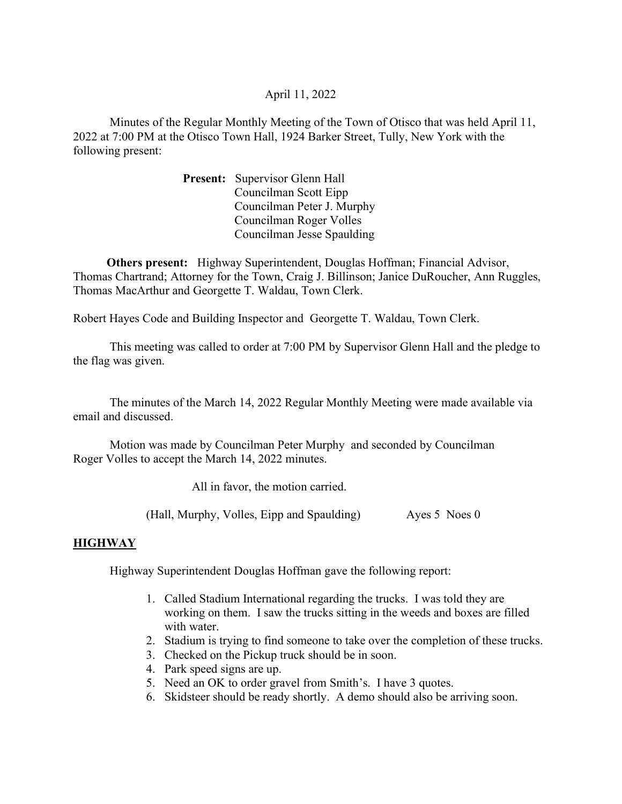# April 11, 2022

Minutes of the Regular Monthly Meeting of the Town of Otisco that was held April 11, 2022 at 7:00 PM at the Otisco Town Hall, 1924 Barker Street, Tully, New York with the following present:

> Present: Supervisor Glenn Hall Councilman Scott Eipp Councilman Peter J. Murphy Councilman Roger Volles Councilman Jesse Spaulding

 Others present: Highway Superintendent, Douglas Hoffman; Financial Advisor, Thomas Chartrand; Attorney for the Town, Craig J. Billinson; Janice DuRoucher, Ann Ruggles, Thomas MacArthur and Georgette T. Waldau, Town Clerk.

Robert Hayes Code and Building Inspector and Georgette T. Waldau, Town Clerk.

 This meeting was called to order at 7:00 PM by Supervisor Glenn Hall and the pledge to the flag was given.

 The minutes of the March 14, 2022 Regular Monthly Meeting were made available via email and discussed.

 Motion was made by Councilman Peter Murphy and seconded by Councilman Roger Volles to accept the March 14, 2022 minutes.

All in favor, the motion carried.

(Hall, Murphy, Volles, Eipp and Spaulding) Ayes 5 Noes 0

## **HIGHWAY**

Highway Superintendent Douglas Hoffman gave the following report:

- 1. Called Stadium International regarding the trucks. I was told they are working on them. I saw the trucks sitting in the weeds and boxes are filled with water.
- 2. Stadium is trying to find someone to take over the completion of these trucks.
- 3. Checked on the Pickup truck should be in soon.
- 4. Park speed signs are up.
- 5. Need an OK to order gravel from Smith's. I have 3 quotes.
- 6. Skidsteer should be ready shortly. A demo should also be arriving soon.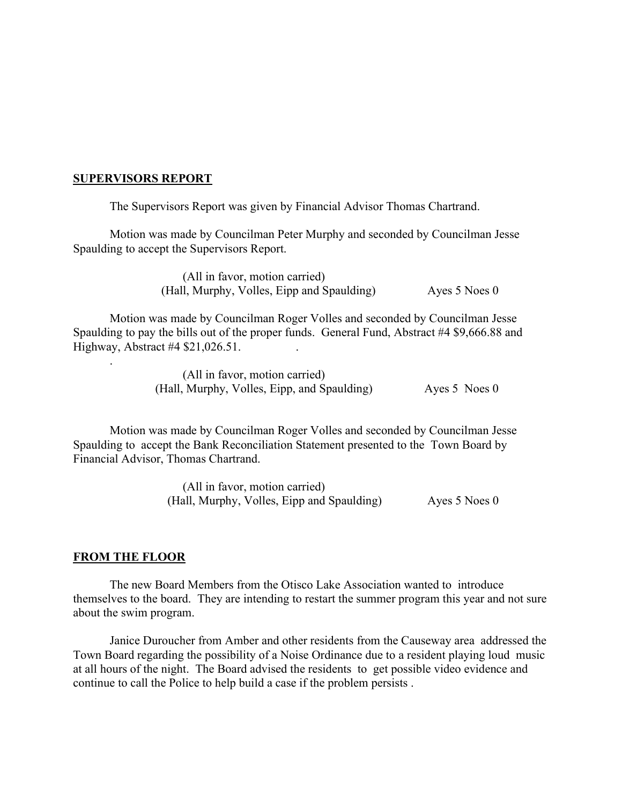### SUPERVISORS REPORT

The Supervisors Report was given by Financial Advisor Thomas Chartrand.

Motion was made by Councilman Peter Murphy and seconded by Councilman Jesse Spaulding to accept the Supervisors Report.

> (All in favor, motion carried) (Hall, Murphy, Volles, Eipp and Spaulding) Ayes 5 Noes 0

Motion was made by Councilman Roger Volles and seconded by Councilman Jesse Spaulding to pay the bills out of the proper funds. General Fund, Abstract #4 \$9,666.88 and Highway, Abstract #4 \$21,026.51. .

> (All in favor, motion carried) (Hall, Murphy, Volles, Eipp, and Spaulding) Ayes 5 Noes 0

Motion was made by Councilman Roger Volles and seconded by Councilman Jesse Spaulding to accept the Bank Reconciliation Statement presented to the Town Board by Financial Advisor, Thomas Chartrand.

> (All in favor, motion carried) (Hall, Murphy, Volles, Eipp and Spaulding) Ayes 5 Noes 0

#### FROM THE FLOOR

.

 The new Board Members from the Otisco Lake Association wanted to introduce themselves to the board. They are intending to restart the summer program this year and not sure about the swim program.

 Janice Duroucher from Amber and other residents from the Causeway area addressed the Town Board regarding the possibility of a Noise Ordinance due to a resident playing loud music at all hours of the night. The Board advised the residents to get possible video evidence and continue to call the Police to help build a case if the problem persists .